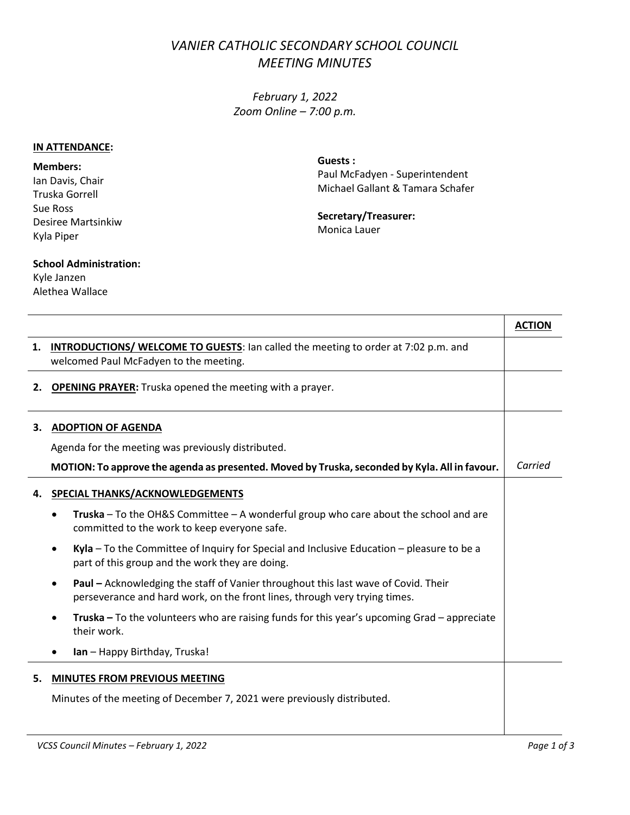## *VANIER CATHOLIC SECONDARY SCHOOL COUNCIL MEETING MINUTES*

*February 1, 2022 Zoom Online – 7:00 p.m.*

## **IN ATTENDANCE:**

**Members:** Ian Davis, Chair Truska Gorrell Sue Ross Desiree Martsinkiw Kyla Piper

**Guests :** Paul McFadyen - Superintendent Michael Gallant & Tamara Schafer

**Secretary/Treasurer:** Monica Lauer

## **School Administration:**

Kyle Janzen Alethea Wallace

|    |                                                                                                                                                                         | <b>ACTION</b> |
|----|-------------------------------------------------------------------------------------------------------------------------------------------------------------------------|---------------|
| 1. | <b>INTRODUCTIONS/ WELCOME TO GUESTS:</b> Ian called the meeting to order at 7:02 p.m. and<br>welcomed Paul McFadyen to the meeting.                                     |               |
| 2. | <b>OPENING PRAYER:</b> Truska opened the meeting with a prayer.                                                                                                         |               |
| 3. | <b>ADOPTION OF AGENDA</b>                                                                                                                                               |               |
|    | Agenda for the meeting was previously distributed.                                                                                                                      |               |
|    | MOTION: To approve the agenda as presented. Moved by Truska, seconded by Kyla. All in favour.                                                                           | Carried       |
| 4. | SPECIAL THANKS/ACKNOWLEDGEMENTS                                                                                                                                         |               |
|    | <b>Truska</b> – To the OH&S Committee – A wonderful group who care about the school and are<br>committed to the work to keep everyone safe.                             |               |
|    | Kyla $-$ To the Committee of Inquiry for Special and Inclusive Education $-$ pleasure to be a<br>part of this group and the work they are doing.                        |               |
|    | <b>Paul</b> – Acknowledging the staff of Vanier throughout this last wave of Covid. Their<br>perseverance and hard work, on the front lines, through very trying times. |               |
|    | <b>Truska</b> – To the volunteers who are raising funds for this year's upcoming Grad – appreciate<br>their work.                                                       |               |
|    | Ian - Happy Birthday, Truska!                                                                                                                                           |               |
| 5. | <b>MINUTES FROM PREVIOUS MEETING</b>                                                                                                                                    |               |
|    | Minutes of the meeting of December 7, 2021 were previously distributed.                                                                                                 |               |
|    |                                                                                                                                                                         |               |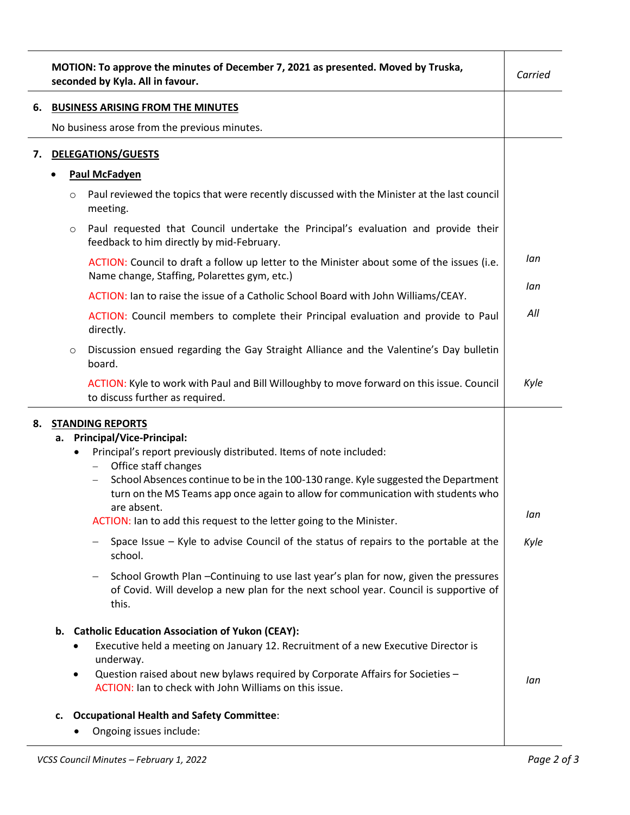|    |                                          | MOTION: To approve the minutes of December 7, 2021 as presented. Moved by Truska,<br>seconded by Kyla. All in favour.                                                                                                                                                                                                                                                    | Carried |
|----|------------------------------------------|--------------------------------------------------------------------------------------------------------------------------------------------------------------------------------------------------------------------------------------------------------------------------------------------------------------------------------------------------------------------------|---------|
| 6. | <b>BUSINESS ARISING FROM THE MINUTES</b> |                                                                                                                                                                                                                                                                                                                                                                          |         |
|    |                                          | No business arose from the previous minutes.                                                                                                                                                                                                                                                                                                                             |         |
| 7. |                                          | <b>DELEGATIONS/GUESTS</b>                                                                                                                                                                                                                                                                                                                                                |         |
|    |                                          | <b>Paul McFadyen</b>                                                                                                                                                                                                                                                                                                                                                     |         |
|    |                                          | Paul reviewed the topics that were recently discussed with the Minister at the last council<br>$\circ$<br>meeting.                                                                                                                                                                                                                                                       |         |
|    |                                          | Paul requested that Council undertake the Principal's evaluation and provide their<br>$\circ$<br>feedback to him directly by mid-February.                                                                                                                                                                                                                               |         |
|    |                                          | ACTION: Council to draft a follow up letter to the Minister about some of the issues (i.e.<br>Name change, Staffing, Polarettes gym, etc.)                                                                                                                                                                                                                               | lan     |
|    |                                          | ACTION: Ian to raise the issue of a Catholic School Board with John Williams/CEAY.                                                                                                                                                                                                                                                                                       | lan     |
|    |                                          | ACTION: Council members to complete their Principal evaluation and provide to Paul<br>directly.                                                                                                                                                                                                                                                                          | All     |
|    |                                          | Discussion ensued regarding the Gay Straight Alliance and the Valentine's Day bulletin<br>$\circ$<br>board.                                                                                                                                                                                                                                                              |         |
|    |                                          | ACTION: Kyle to work with Paul and Bill Willoughby to move forward on this issue. Council<br>to discuss further as required.                                                                                                                                                                                                                                             | Kyle    |
| 8. | а.                                       | <b>STANDING REPORTS</b><br><b>Principal/Vice-Principal:</b>                                                                                                                                                                                                                                                                                                              |         |
|    |                                          | Principal's report previously distributed. Items of note included:<br>$\bullet$<br>Office staff changes<br>School Absences continue to be in the 100-130 range. Kyle suggested the Department<br>turn on the MS Teams app once again to allow for communication with students who<br>are absent.<br>ACTION: Ian to add this request to the letter going to the Minister. | lan     |
|    |                                          | Space Issue - Kyle to advise Council of the status of repairs to the portable at the<br>school.                                                                                                                                                                                                                                                                          | Kyle    |
|    |                                          | School Growth Plan - Continuing to use last year's plan for now, given the pressures<br>of Covid. Will develop a new plan for the next school year. Council is supportive of<br>this.                                                                                                                                                                                    |         |
|    |                                          | b. Catholic Education Association of Yukon (CEAY):<br>Executive held a meeting on January 12. Recruitment of a new Executive Director is<br>underway.<br>Question raised about new bylaws required by Corporate Affairs for Societies -<br>$\bullet$<br>ACTION: Ian to check with John Williams on this issue.                                                           | lan     |
|    | c.                                       | <b>Occupational Health and Safety Committee:</b><br>Ongoing issues include:                                                                                                                                                                                                                                                                                              |         |